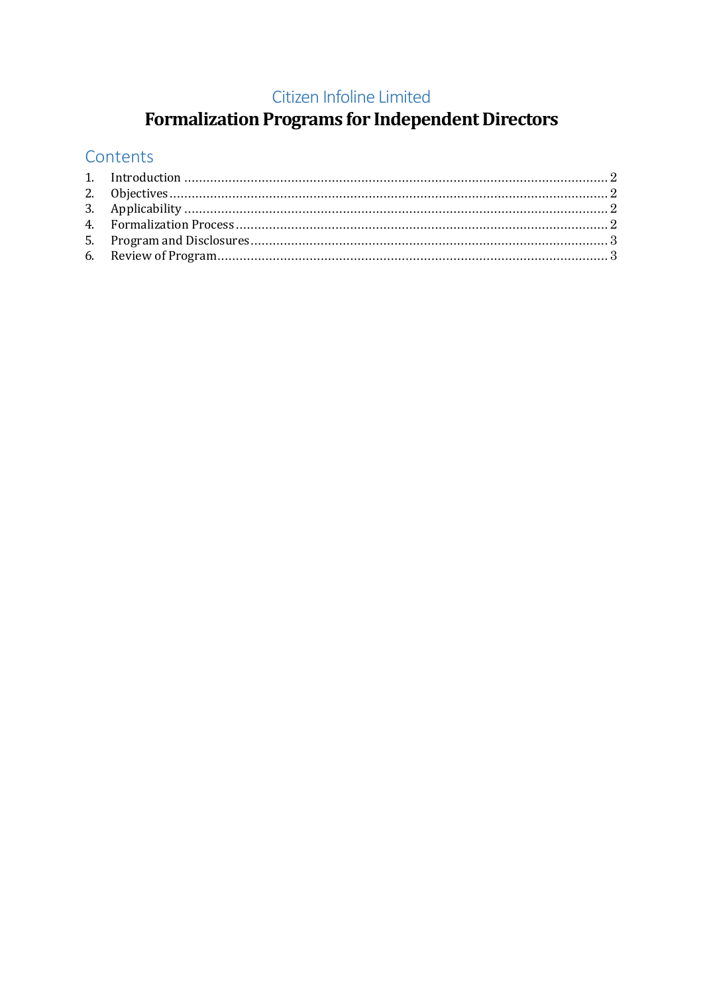#### Citizen Infoline Limited

# **Formalization Programs for Independent Directors**

## Contents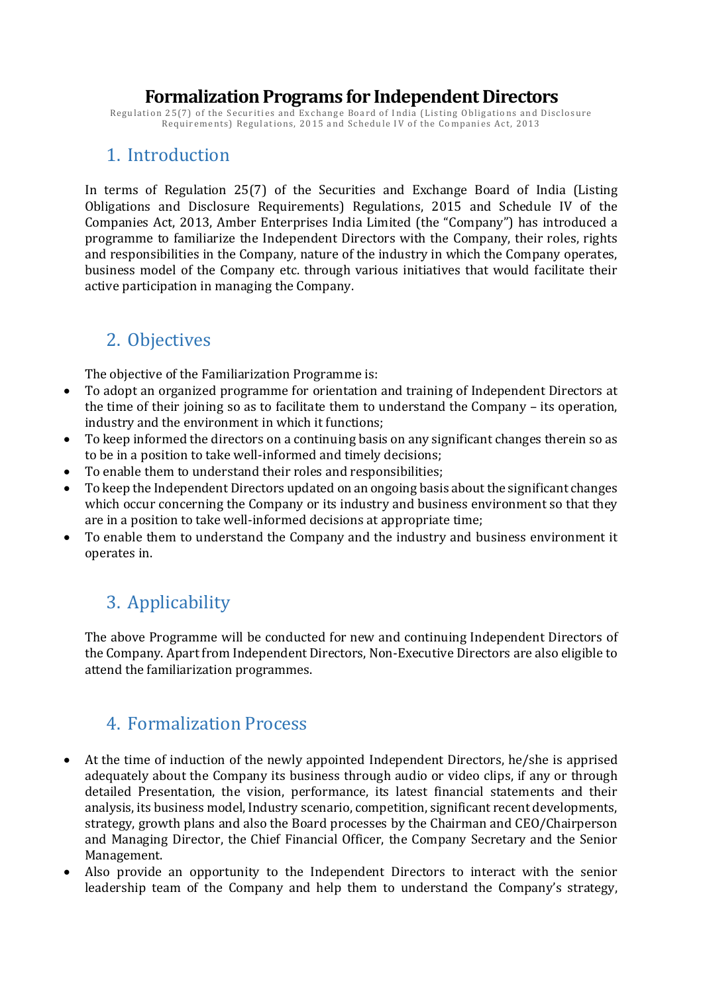#### **Formalization Programs for Independent Directors**

Regulation 25(7) of the Securities and Exchange Board of India (Listing Obligations and Disclosure Requirements) Regulations, 2015 and Schedule IV of the Companies Act, 2013

#### <span id="page-1-0"></span>1. Introduction

In terms of Regulation 25(7) of the Securities and Exchange Board of India (Listing Obligations and Disclosure Requirements) Regulations, 2015 and Schedule IV of the Companies Act, 2013, Amber Enterprises India Limited (the "Company") has introduced a programme to familiarize the Independent Directors with the Company, their roles, rights and responsibilities in the Company, nature of the industry in which the Company operates, business model of the Company etc. through various initiatives that would facilitate their active participation in managing the Company.

#### <span id="page-1-1"></span>2. Objectives

The objective of the Familiarization Programme is:

- To adopt an organized programme for orientation and training of Independent Directors at the time of their joining so as to facilitate them to understand the Company – its operation, industry and the environment in which it functions;
- To keep informed the directors on a continuing basis on any significant changes therein so as to be in a position to take well-informed and timely decisions;
- To enable them to understand their roles and responsibilities;
- To keep the Independent Directors updated on an ongoing basis about the significant changes which occur concerning the Company or its industry and business environment so that they are in a position to take well-informed decisions at appropriate time;
- To enable them to understand the Company and the industry and business environment it operates in.

# <span id="page-1-2"></span>3. Applicability

The above Programme will be conducted for new and continuing Independent Directors of the Company. Apart from Independent Directors, Non-Executive Directors are also eligible to attend the familiarization programmes.

#### <span id="page-1-3"></span>4. Formalization Process

- At the time of induction of the newly appointed Independent Directors, he/she is apprised adequately about the Company its business through audio or video clips, if any or through detailed Presentation, the vision, performance, its latest financial statements and their analysis, its business model, Industry scenario, competition, significant recent developments, strategy, growth plans and also the Board processes by the Chairman and CEO/Chairperson and Managing Director, the Chief Financial Officer, the Company Secretary and the Senior Management.
- Also provide an opportunity to the Independent Directors to interact with the senior leadership team of the Company and help them to understand the Company's strategy,